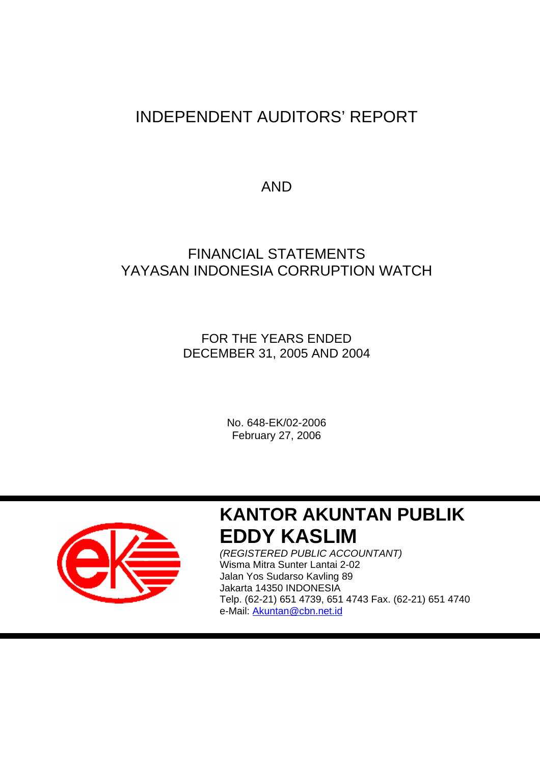# INDEPENDENT AUDITORS' REPORT

AND

# FINANCIAL STATEMENTS YAYASAN INDONESIA CORRUPTION WATCH

FOR THE YEARS ENDED DECEMBER 31, 2005 AND 2004

> No. 648-EK/02-2006 February 27, 2006



ı

# **KANTOR AKUNTAN PUBLIK EDDY KASLIM**

*(REGISTERED PUBLIC ACCOUNTANT)*  Wisma Mitra Sunter Lantai 2-02 Jalan Yos Sudarso Kavling 89 Jakarta 14350 INDONESIA Telp. (62-21) 651 4739, 651 4743 Fax. (62-21) 651 4740 e-Mail: Akuntan@cbn.net.id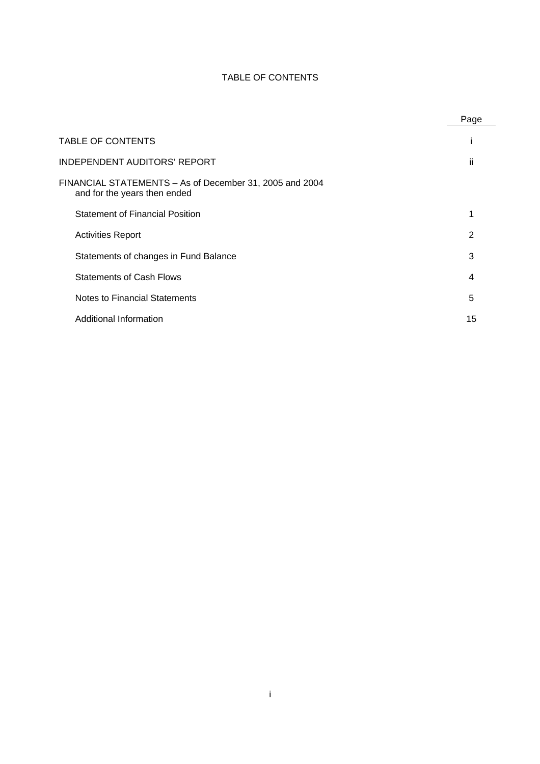# TABLE OF CONTENTS

|                                                                                         | Page |
|-----------------------------------------------------------------------------------------|------|
| <b>TABLE OF CONTENTS</b>                                                                |      |
| <b>INDEPENDENT AUDITORS' REPORT</b>                                                     | ii   |
| FINANCIAL STATEMENTS - As of December 31, 2005 and 2004<br>and for the years then ended |      |
| <b>Statement of Financial Position</b>                                                  | 1    |
| <b>Activities Report</b>                                                                | 2    |
| Statements of changes in Fund Balance                                                   | 3    |
| <b>Statements of Cash Flows</b>                                                         | 4    |
| Notes to Financial Statements                                                           | 5    |
| Additional Information                                                                  | 15   |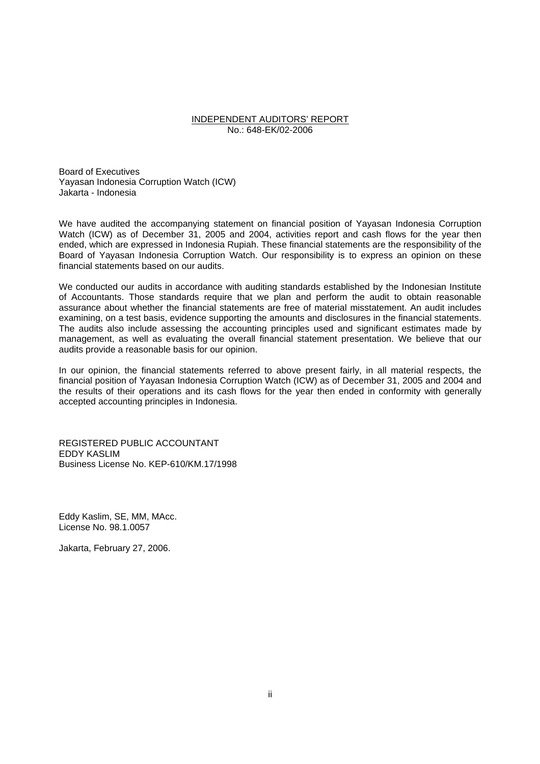#### INDEPENDENT AUDITORS' REPORT No.: 648-EK/02-2006

Board of Executives Yayasan Indonesia Corruption Watch (ICW) Jakarta - Indonesia

We have audited the accompanying statement on financial position of Yayasan Indonesia Corruption Watch (ICW) as of December 31, 2005 and 2004, activities report and cash flows for the year then ended, which are expressed in Indonesia Rupiah. These financial statements are the responsibility of the Board of Yayasan Indonesia Corruption Watch. Our responsibility is to express an opinion on these financial statements based on our audits.

We conducted our audits in accordance with auditing standards established by the Indonesian Institute of Accountants. Those standards require that we plan and perform the audit to obtain reasonable assurance about whether the financial statements are free of material misstatement. An audit includes examining, on a test basis, evidence supporting the amounts and disclosures in the financial statements. The audits also include assessing the accounting principles used and significant estimates made by management, as well as evaluating the overall financial statement presentation. We believe that our audits provide a reasonable basis for our opinion.

In our opinion, the financial statements referred to above present fairly, in all material respects, the financial position of Yayasan Indonesia Corruption Watch (ICW) as of December 31, 2005 and 2004 and the results of their operations and its cash flows for the year then ended in conformity with generally accepted accounting principles in Indonesia.

REGISTERED PUBLIC ACCOUNTANT EDDY KASLIM Business License No. KEP-610/KM.17/1998

Eddy Kaslim, SE, MM, MAcc. License No. 98.1.0057

Jakarta, February 27, 2006.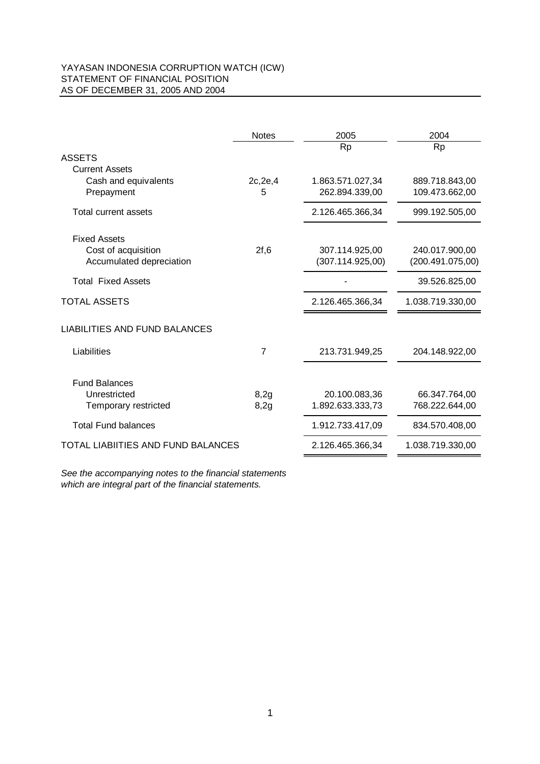#### YAYASAN INDONESIA CORRUPTION WATCH (ICW) STATEMENT OF FINANCIAL POSITION AS OF DECEMBER 31, 2005 AND 2004

|                                      | <b>Notes</b> | 2005             | 2004             |
|--------------------------------------|--------------|------------------|------------------|
| <b>ASSETS</b>                        |              | <b>Rp</b>        | <b>Rp</b>        |
| <b>Current Assets</b>                |              |                  |                  |
| Cash and equivalents                 | 2c, 2e, 4    | 1.863.571.027,34 | 889.718.843,00   |
| Prepayment                           | 5            | 262.894.339,00   | 109.473.662,00   |
| Total current assets                 |              | 2.126.465.366,34 | 999.192.505,00   |
| <b>Fixed Assets</b>                  |              |                  |                  |
| Cost of acquisition                  | 2f, 6        | 307.114.925,00   | 240.017.900,00   |
| Accumulated depreciation             |              | (307.114.925,00) | (200.491.075,00) |
| <b>Total Fixed Assets</b>            |              |                  | 39.526.825,00    |
| <b>TOTAL ASSETS</b>                  |              | 2.126.465.366,34 | 1.038.719.330,00 |
| <b>LIABILITIES AND FUND BALANCES</b> |              |                  |                  |
| Liabilities                          | 7            | 213.731.949,25   | 204.148.922,00   |
|                                      |              |                  |                  |
| <b>Fund Balances</b><br>Unrestricted |              |                  |                  |
|                                      | 8,2g         | 20.100.083,36    | 66.347.764,00    |
| Temporary restricted                 | 8,2g         | 1.892.633.333,73 | 768.222.644,00   |
| <b>Total Fund balances</b>           |              | 1.912.733.417,09 | 834.570.408,00   |
| TOTAL LIABIITIES AND FUND BALANCES   |              | 2.126.465.366,34 | 1.038.719.330,00 |
|                                      |              |                  |                  |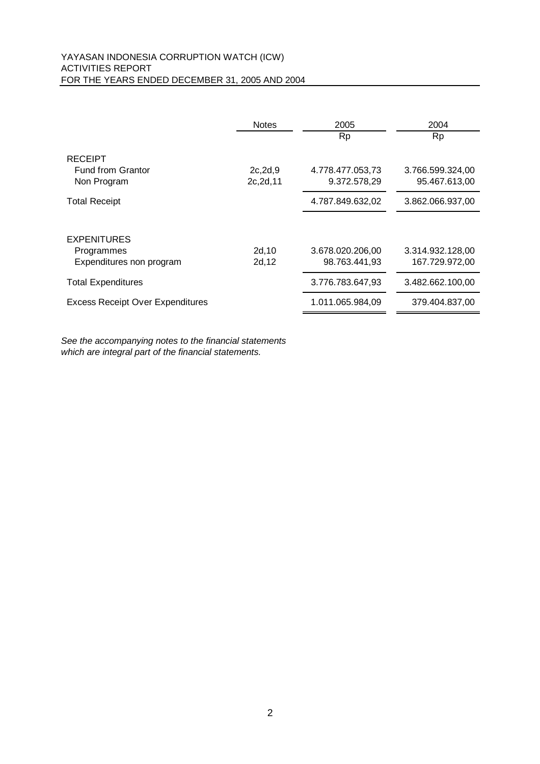#### YAYASAN INDONESIA CORRUPTION WATCH (ICW) ACTIVITIES REPORT FOR THE YEARS ENDED DECEMBER 31, 2005 AND 2004

|                                         | <b>Notes</b> | 2005             | 2004             |
|-----------------------------------------|--------------|------------------|------------------|
|                                         |              | <b>Rp</b>        | <b>Rp</b>        |
| <b>RECEIPT</b>                          |              |                  |                  |
| <b>Fund from Grantor</b>                | 2c, 2d, 9    | 4.778.477.053,73 | 3.766.599.324,00 |
| Non Program                             | 2c, 2d, 11   | 9.372.578,29     | 95.467.613,00    |
| <b>Total Receipt</b>                    |              | 4.787.849.632,02 | 3.862.066.937,00 |
|                                         |              |                  |                  |
| <b>EXPENITURES</b>                      |              |                  |                  |
| Programmes                              | 2d, 10       | 3.678.020.206,00 | 3.314.932.128,00 |
| Expenditures non program                | 2d, 12       | 98.763.441,93    | 167.729.972,00   |
| <b>Total Expenditures</b>               |              | 3.776.783.647,93 | 3.482.662.100,00 |
| <b>Excess Receipt Over Expenditures</b> |              | 1.011.065.984,09 | 379.404.837,00   |
|                                         |              |                  |                  |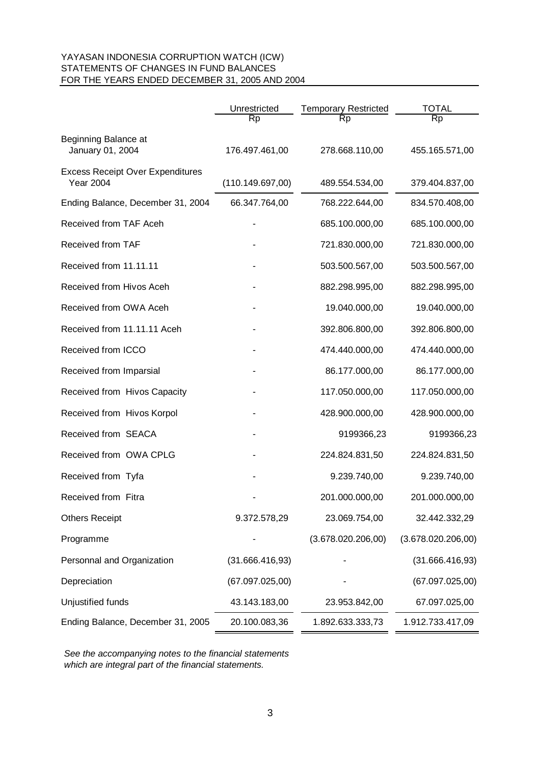#### YAYASAN INDONESIA CORRUPTION WATCH (ICW) STATEMENTS OF CHANGES IN FUND BALANCES FOR THE YEARS ENDED DECEMBER 31, 2005 AND 2004

|                                                             | Unrestricted     | <b>Temporary Restricted</b> | <b>TOTAL</b>       |
|-------------------------------------------------------------|------------------|-----------------------------|--------------------|
|                                                             | Rp               | Rp                          | Rp                 |
| Beginning Balance at<br>January 01, 2004                    | 176.497.461,00   | 278.668.110,00              | 455.165.571,00     |
| <b>Excess Receipt Over Expenditures</b><br><b>Year 2004</b> | (110.149.697,00) | 489.554.534,00              | 379.404.837,00     |
| Ending Balance, December 31, 2004                           | 66.347.764,00    | 768.222.644,00              | 834.570.408,00     |
| Received from TAF Aceh                                      |                  | 685.100.000,00              | 685.100.000,00     |
| Received from TAF                                           |                  | 721.830.000,00              | 721.830.000,00     |
| Received from 11.11.11                                      |                  | 503.500.567,00              | 503.500.567,00     |
| Received from Hivos Aceh                                    |                  | 882.298.995,00              | 882.298.995,00     |
| Received from OWA Aceh                                      |                  | 19.040.000,00               | 19.040.000,00      |
| Received from 11.11.11 Aceh                                 |                  | 392.806.800,00              | 392.806.800,00     |
| Received from ICCO                                          |                  | 474.440.000,00              | 474.440.000,00     |
| Received from Imparsial                                     |                  | 86.177.000,00               | 86.177.000,00      |
| Received from Hivos Capacity                                |                  | 117.050.000,00              | 117.050.000,00     |
| Received from Hivos Korpol                                  |                  | 428.900.000,00              | 428.900.000,00     |
| Received from SEACA                                         |                  | 9199366,23                  | 9199366,23         |
| Received from OWA CPLG                                      |                  | 224.824.831,50              | 224.824.831,50     |
| Received from Tyfa                                          |                  | 9.239.740,00                | 9.239.740,00       |
| Received from Fitra                                         |                  | 201.000.000,00              | 201.000.000,00     |
| <b>Others Receipt</b>                                       | 9.372.578,29     | 23.069.754,00               | 32.442.332,29      |
| Programme                                                   |                  | (3.678.020.206,00)          | (3.678.020.206,00) |
| Personnal and Organization                                  | (31.666.416,93)  |                             | (31.666.416,93)    |
| Depreciation                                                | (67.097.025,00)  |                             | (67.097.025,00)    |
| Unjustified funds                                           | 43.143.183,00    | 23.953.842,00               | 67.097.025,00      |
| Ending Balance, December 31, 2005                           | 20.100.083,36    | 1.892.633.333,73            | 1.912.733.417,09   |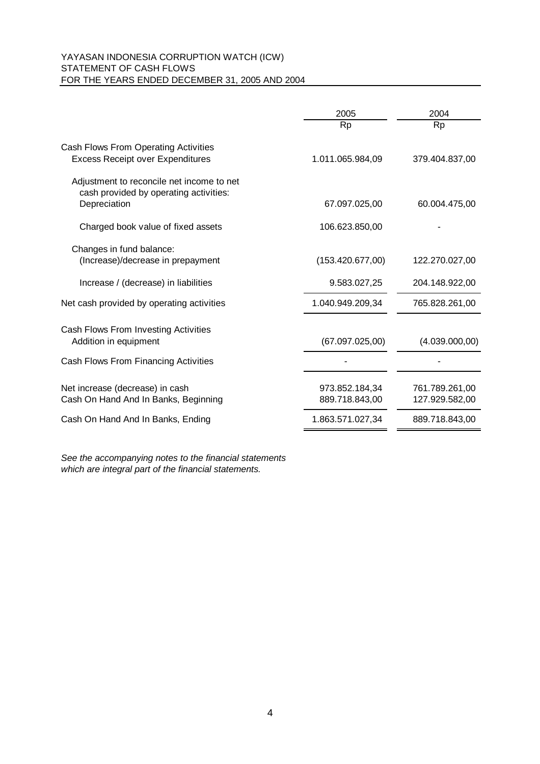#### YAYASAN INDONESIA CORRUPTION WATCH (ICW) STATEMENT OF CASH FLOWS FOR THE YEARS ENDED DECEMBER 31, 2005 AND 2004

|                                                                                                     | 2005                             | 2004                             |
|-----------------------------------------------------------------------------------------------------|----------------------------------|----------------------------------|
|                                                                                                     | <b>Rp</b>                        | <b>Rp</b>                        |
| Cash Flows From Operating Activities<br><b>Excess Receipt over Expenditures</b>                     | 1.011.065.984,09                 | 379.404.837,00                   |
| Adjustment to reconcile net income to net<br>cash provided by operating activities:<br>Depreciation | 67.097.025,00                    | 60.004.475,00                    |
| Charged book value of fixed assets                                                                  | 106.623.850,00                   |                                  |
| Changes in fund balance:<br>(Increase)/decrease in prepayment                                       | (153.420.677,00)                 | 122.270.027,00                   |
| Increase / (decrease) in liabilities                                                                | 9.583.027,25                     | 204.148.922,00                   |
| Net cash provided by operating activities                                                           | 1.040.949.209,34                 | 765.828.261,00                   |
| Cash Flows From Investing Activities<br>Addition in equipment                                       | (67.097.025,00)                  | (4.039.000,00)                   |
| Cash Flows From Financing Activities                                                                |                                  |                                  |
| Net increase (decrease) in cash<br>Cash On Hand And In Banks, Beginning                             | 973.852.184,34<br>889.718.843,00 | 761.789.261,00<br>127.929.582,00 |
| Cash On Hand And In Banks, Ending                                                                   | 1.863.571.027,34                 | 889.718.843,00                   |
|                                                                                                     |                                  |                                  |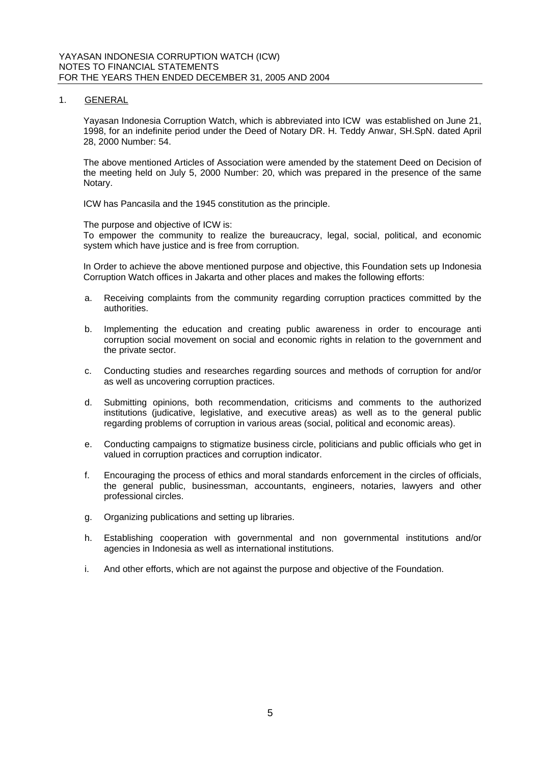1. GENERAL

Yayasan Indonesia Corruption Watch, which is abbreviated into ICW was established on June 21, 1998, for an indefinite period under the Deed of Notary DR. H. Teddy Anwar, SH.SpN. dated April 28, 2000 Number: 54.

The above mentioned Articles of Association were amended by the statement Deed on Decision of the meeting held on July 5, 2000 Number: 20, which was prepared in the presence of the same Notary.

ICW has Pancasila and the 1945 constitution as the principle.

The purpose and objective of ICW is:

To empower the community to realize the bureaucracy, legal, social, political, and economic system which have justice and is free from corruption.

In Order to achieve the above mentioned purpose and objective, this Foundation sets up Indonesia Corruption Watch offices in Jakarta and other places and makes the following efforts:

- a. Receiving complaints from the community regarding corruption practices committed by the authorities.
- b. Implementing the education and creating public awareness in order to encourage anti corruption social movement on social and economic rights in relation to the government and the private sector.
- c. Conducting studies and researches regarding sources and methods of corruption for and/or as well as uncovering corruption practices.
- d. Submitting opinions, both recommendation, criticisms and comments to the authorized institutions (judicative, legislative, and executive areas) as well as to the general public regarding problems of corruption in various areas (social, political and economic areas).
- e. Conducting campaigns to stigmatize business circle, politicians and public officials who get in valued in corruption practices and corruption indicator.
- f. Encouraging the process of ethics and moral standards enforcement in the circles of officials, the general public, businessman, accountants, engineers, notaries, lawyers and other professional circles.
- g. Organizing publications and setting up libraries.
- h. Establishing cooperation with governmental and non governmental institutions and/or agencies in Indonesia as well as international institutions.
- i. And other efforts, which are not against the purpose and objective of the Foundation.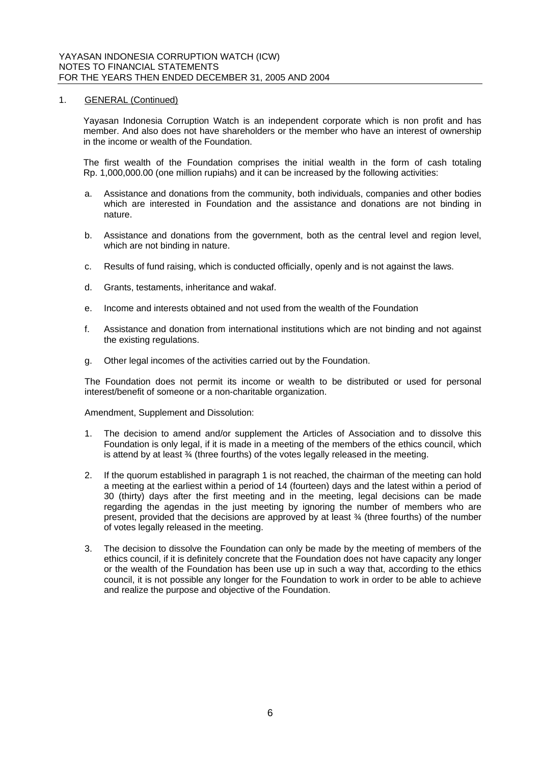#### 1. GENERAL (Continued)

Yayasan Indonesia Corruption Watch is an independent corporate which is non profit and has member. And also does not have shareholders or the member who have an interest of ownership in the income or wealth of the Foundation.

The first wealth of the Foundation comprises the initial wealth in the form of cash totaling Rp. 1,000,000.00 (one million rupiahs) and it can be increased by the following activities:

- a. Assistance and donations from the community, both individuals, companies and other bodies which are interested in Foundation and the assistance and donations are not binding in nature.
- b. Assistance and donations from the government, both as the central level and region level, which are not binding in nature.
- c. Results of fund raising, which is conducted officially, openly and is not against the laws.
- d. Grants, testaments, inheritance and wakaf.
- e. Income and interests obtained and not used from the wealth of the Foundation
- f. Assistance and donation from international institutions which are not binding and not against the existing regulations.
- g. Other legal incomes of the activities carried out by the Foundation.

The Foundation does not permit its income or wealth to be distributed or used for personal interest/benefit of someone or a non-charitable organization.

Amendment, Supplement and Dissolution:

- 1. The decision to amend and/or supplement the Articles of Association and to dissolve this Foundation is only legal, if it is made in a meeting of the members of the ethics council, which is attend by at least  $\frac{3}{4}$  (three fourths) of the votes legally released in the meeting.
- 2. If the quorum established in paragraph 1 is not reached, the chairman of the meeting can hold a meeting at the earliest within a period of 14 (fourteen) days and the latest within a period of 30 (thirty) days after the first meeting and in the meeting, legal decisions can be made regarding the agendas in the just meeting by ignoring the number of members who are present, provided that the decisions are approved by at least  $\frac{3}{4}$  (three fourths) of the number of votes legally released in the meeting.
- 3. The decision to dissolve the Foundation can only be made by the meeting of members of the ethics council, if it is definitely concrete that the Foundation does not have capacity any longer or the wealth of the Foundation has been use up in such a way that, according to the ethics council, it is not possible any longer for the Foundation to work in order to be able to achieve and realize the purpose and objective of the Foundation.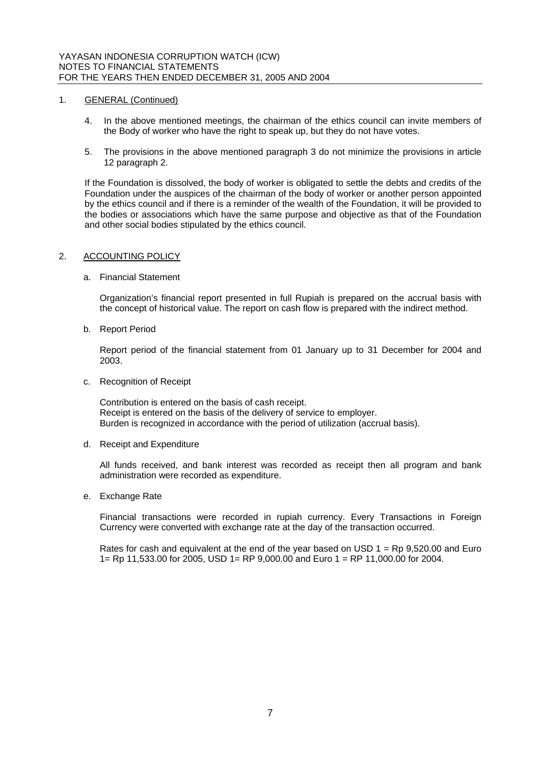#### 1. GENERAL (Continued)

- 4. In the above mentioned meetings, the chairman of the ethics council can invite members of the Body of worker who have the right to speak up, but they do not have votes.
- 5. The provisions in the above mentioned paragraph 3 do not minimize the provisions in article 12 paragraph 2.

If the Foundation is dissolved, the body of worker is obligated to settle the debts and credits of the Foundation under the auspices of the chairman of the body of worker or another person appointed by the ethics council and if there is a reminder of the wealth of the Foundation, it will be provided to the bodies or associations which have the same purpose and objective as that of the Foundation and other social bodies stipulated by the ethics council.

#### 2. ACCOUNTING POLICY

#### a. Financial Statement

Organization's financial report presented in full Rupiah is prepared on the accrual basis with the concept of historical value. The report on cash flow is prepared with the indirect method.

b. Report Period

Report period of the financial statement from 01 January up to 31 December for 2004 and 2003.

c. Recognition of Receipt

Contribution is entered on the basis of cash receipt. Receipt is entered on the basis of the delivery of service to employer. Burden is recognized in accordance with the period of utilization (accrual basis).

d. Receipt and Expenditure

All funds received, and bank interest was recorded as receipt then all program and bank administration were recorded as expenditure.

e. Exchange Rate

Financial transactions were recorded in rupiah currency. Every Transactions in Foreign Currency were converted with exchange rate at the day of the transaction occurred.

Rates for cash and equivalent at the end of the year based on USD  $1 =$  Rp 9,520.00 and Euro 1= Rp 11,533.00 for 2005, USD 1= RP 9,000.00 and Euro 1 = RP 11,000.00 for 2004.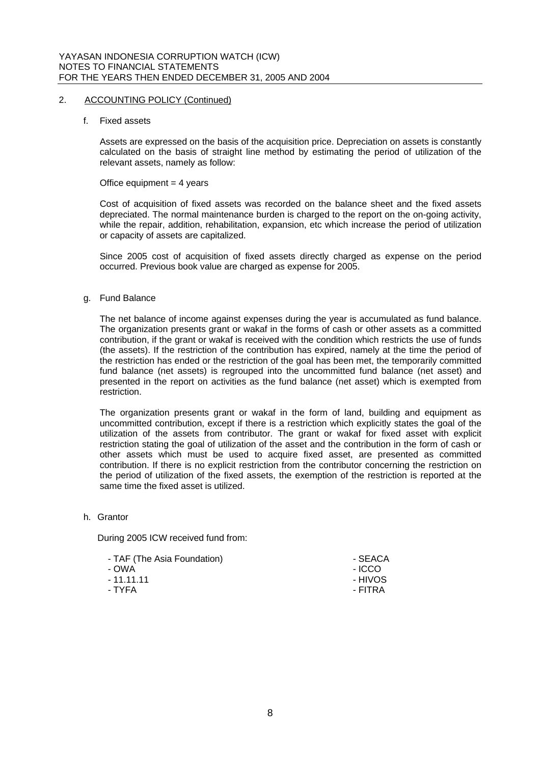#### 2. ACCOUNTING POLICY (Continued)

f. Fixed assets

Assets are expressed on the basis of the acquisition price. Depreciation on assets is constantly calculated on the basis of straight line method by estimating the period of utilization of the relevant assets, namely as follow:

#### Office equipment  $=$  4 years

Cost of acquisition of fixed assets was recorded on the balance sheet and the fixed assets depreciated. The normal maintenance burden is charged to the report on the on-going activity, while the repair, addition, rehabilitation, expansion, etc which increase the period of utilization or capacity of assets are capitalized.

Since 2005 cost of acquisition of fixed assets directly charged as expense on the period occurred. Previous book value are charged as expense for 2005.

#### g. Fund Balance

The net balance of income against expenses during the year is accumulated as fund balance. The organization presents grant or wakaf in the forms of cash or other assets as a committed contribution, if the grant or wakaf is received with the condition which restricts the use of funds (the assets). If the restriction of the contribution has expired, namely at the time the period of the restriction has ended or the restriction of the goal has been met, the temporarily committed fund balance (net assets) is regrouped into the uncommitted fund balance (net asset) and presented in the report on activities as the fund balance (net asset) which is exempted from restriction.

The organization presents grant or wakaf in the form of land, building and equipment as uncommitted contribution, except if there is a restriction which explicitly states the goal of the utilization of the assets from contributor. The grant or wakaf for fixed asset with explicit restriction stating the goal of utilization of the asset and the contribution in the form of cash or other assets which must be used to acquire fixed asset, are presented as committed contribution. If there is no explicit restriction from the contributor concerning the restriction on the period of utilization of the fixed assets, the exemption of the restriction is reported at the same time the fixed asset is utilized.

h. Grantor

During 2005 ICW received fund from:

| - SEACA |
|---------|
| - ICCO  |
| - HIVOS |
| - FITRA |
|         |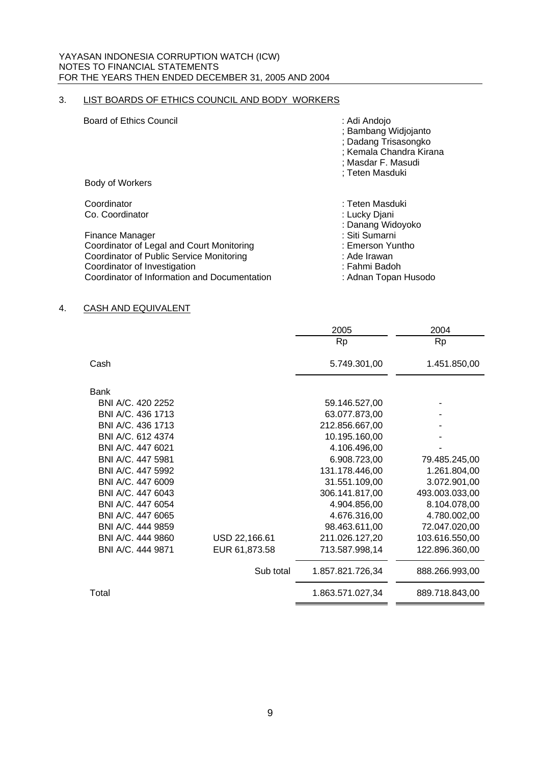# 3. LIST BOARDS OF ETHICS COUNCIL AND BODY WORKERS

| <b>Board of Ethics Council</b>               | : Adi Andojo<br>; Bambang Widjojanto<br>; Dadang Trisasongko<br>; Kemala Chandra Kirana<br>; Masdar F. Masudi<br>; Teten Masduki |
|----------------------------------------------|----------------------------------------------------------------------------------------------------------------------------------|
| Body of Workers                              |                                                                                                                                  |
| Coordinator                                  | : Teten Masduki                                                                                                                  |
| Co. Coordinator                              | : Lucky Djani<br>: Danang Widoyoko                                                                                               |
| Finance Manager                              | : Siti Sumarni                                                                                                                   |
| Coordinator of Legal and Court Monitoring    | : Emerson Yuntho                                                                                                                 |
| Coordinator of Public Service Monitoring     | : Ade Irawan                                                                                                                     |
| Coordinator of Investigation                 | : Fahmi Badoh                                                                                                                    |
| Coordinator of Information and Documentation | : Adnan Topan Husodo                                                                                                             |

#### 4. CASH AND EQUIVALENT

|                   |               | 2005             | 2004           |
|-------------------|---------------|------------------|----------------|
|                   |               | <b>Rp</b>        | <b>Rp</b>      |
| Cash              |               | 5.749.301,00     | 1.451.850,00   |
|                   |               |                  |                |
| Bank              |               |                  |                |
| BNI A/C, 420 2252 |               | 59.146.527,00    |                |
| BNI A/C. 436 1713 |               | 63.077.873,00    |                |
|                   |               |                  |                |
| BNI A/C. 436 1713 |               | 212.856.667,00   |                |
| BNI A/C. 612 4374 |               | 10.195.160,00    |                |
| BNI A/C, 447 6021 |               | 4.106.496,00     |                |
| BNI A/C. 447 5981 |               | 6.908.723,00     | 79.485.245,00  |
| BNI A/C, 447 5992 |               | 131.178.446,00   | 1.261.804,00   |
| BNI A/C. 447 6009 |               | 31.551.109,00    | 3.072.901,00   |
| BNI A/C. 447 6043 |               | 306.141.817,00   | 493.003.033,00 |
| BNI A/C, 447 6054 |               | 4.904.856,00     | 8.104.078,00   |
| BNI A/C. 447 6065 |               | 4.676.316,00     | 4.780.002,00   |
| BNI A/C. 444 9859 |               | 98.463.611,00    | 72.047.020,00  |
| BNI A/C, 444 9860 | USD 22,166.61 | 211.026.127,20   | 103.616.550,00 |
| BNI A/C. 444 9871 | EUR 61,873.58 | 713.587.998,14   | 122.896.360,00 |
|                   | Sub total     | 1.857.821.726,34 | 888.266.993,00 |
| Total             |               | 1.863.571.027,34 | 889.718.843,00 |
|                   |               |                  |                |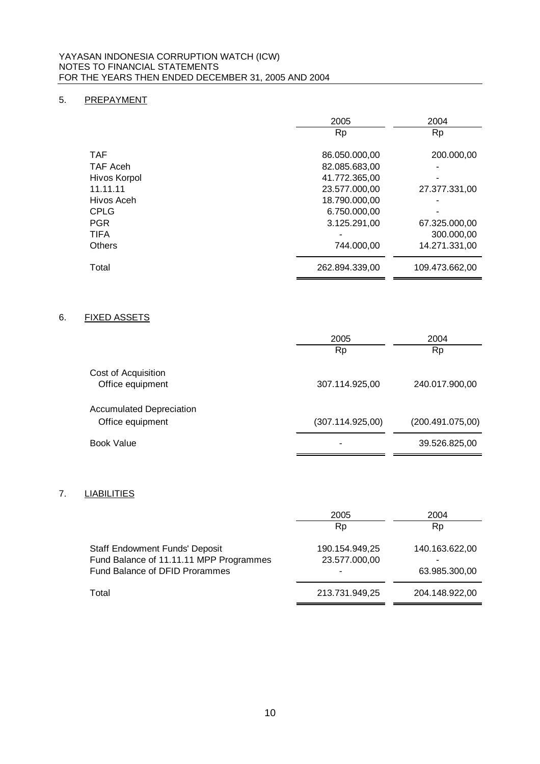## 5. PREPAYMENT

|               | 2005           | 2004           |
|---------------|----------------|----------------|
|               | <b>Rp</b>      | <b>Rp</b>      |
|               |                |                |
| <b>TAF</b>    | 86.050.000,00  | 200.000,00     |
| TAF Aceh      | 82.085.683,00  |                |
| Hivos Korpol  | 41.772.365,00  |                |
| 11.11.11      | 23.577.000,00  | 27.377.331,00  |
| Hivos Aceh    | 18.790.000,00  |                |
| <b>CPLG</b>   | 6.750.000,00   |                |
| <b>PGR</b>    | 3.125.291,00   | 67.325.000,00  |
| <b>TIFA</b>   |                | 300,000,00     |
| <b>Others</b> | 744.000.00     | 14.271.331,00  |
| Total         | 262.894.339.00 | 109.473.662,00 |

### 6. FIXED ASSETS

|                                                     | 2005             | 2004             |
|-----------------------------------------------------|------------------|------------------|
|                                                     | <b>Rp</b>        | Rp               |
| Cost of Acquisition<br>Office equipment             | 307.114.925,00   | 240.017.900,00   |
| <b>Accumulated Depreciation</b><br>Office equipment | (307.114.925,00) | (200.491.075,00) |
| Book Value                                          |                  | 39.526.825,00    |

# 7. LIABILITIES

| 2005           | 2004           |
|----------------|----------------|
| Rp             | Rp             |
| 190.154.949,25 | 140.163.622,00 |
| 23.577.000,00  | -              |
|                | 63.985.300,00  |
| 213.731.949,25 | 204.148.922,00 |
|                |                |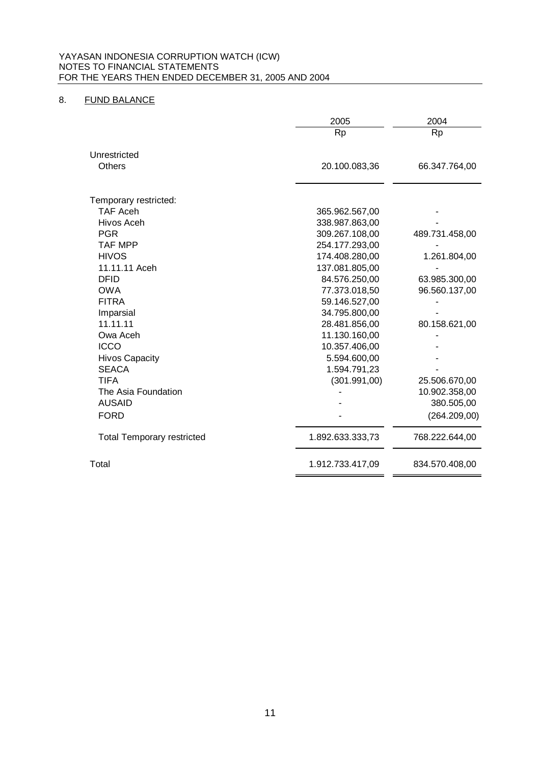## 8. FUND BALANCE

|                                   | 2005             | 2004           |
|-----------------------------------|------------------|----------------|
|                                   | <b>Rp</b>        | <b>Rp</b>      |
|                                   |                  |                |
| Unrestricted                      |                  |                |
| <b>Others</b>                     | 20.100.083,36    | 66.347.764,00  |
|                                   |                  |                |
| Temporary restricted:             |                  |                |
| <b>TAF Aceh</b>                   | 365.962.567,00   |                |
| Hivos Aceh                        | 338.987.863,00   |                |
| <b>PGR</b>                        | 309.267.108,00   | 489.731.458,00 |
| <b>TAF MPP</b>                    | 254.177.293,00   |                |
| <b>HIVOS</b>                      | 174.408.280,00   | 1.261.804,00   |
| 11.11.11 Aceh                     | 137.081.805,00   |                |
| <b>DFID</b>                       | 84.576.250,00    | 63.985.300,00  |
| <b>OWA</b>                        | 77.373.018,50    | 96.560.137,00  |
| <b>FITRA</b>                      | 59.146.527,00    |                |
| Imparsial                         | 34.795.800,00    |                |
| 11.11.11                          | 28.481.856,00    | 80.158.621,00  |
| Owa Aceh                          | 11.130.160,00    |                |
| <b>ICCO</b>                       | 10.357.406,00    |                |
| <b>Hivos Capacity</b>             | 5.594.600,00     |                |
| <b>SEACA</b>                      | 1.594.791,23     |                |
| <b>TIFA</b>                       | (301.991,00)     | 25.506.670,00  |
| The Asia Foundation               |                  | 10.902.358,00  |
| <b>AUSAID</b>                     |                  | 380.505,00     |
| <b>FORD</b>                       |                  | (264.209,00)   |
| <b>Total Temporary restricted</b> | 1.892.633.333,73 | 768.222.644,00 |
| Total                             | 1.912.733.417,09 | 834.570.408,00 |
|                                   |                  |                |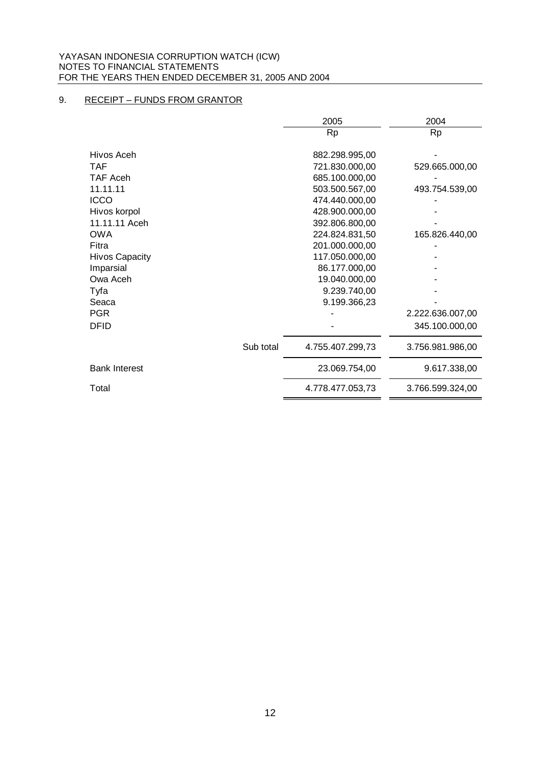# 9. RECEIPT – FUNDS FROM GRANTOR

|                       |           | 2005             | 2004             |
|-----------------------|-----------|------------------|------------------|
|                       |           | <b>Rp</b>        | <b>Rp</b>        |
|                       |           |                  |                  |
| Hivos Aceh            |           | 882.298.995,00   |                  |
| <b>TAF</b>            |           | 721.830.000,00   | 529.665.000,00   |
| <b>TAF Aceh</b>       |           | 685.100.000,00   |                  |
| 11.11.11              |           | 503.500.567,00   | 493.754.539,00   |
| <b>ICCO</b>           |           | 474.440.000,00   |                  |
| Hivos korpol          |           | 428.900.000,00   |                  |
| 11.11.11 Aceh         |           | 392.806.800,00   |                  |
| <b>OWA</b>            |           | 224.824.831,50   | 165.826.440,00   |
| Fitra                 |           | 201.000.000,00   |                  |
| <b>Hivos Capacity</b> |           | 117.050.000,00   |                  |
| Imparsial             |           | 86.177.000,00    |                  |
| Owa Aceh              |           | 19.040.000,00    |                  |
| Tyfa                  |           | 9.239.740,00     |                  |
| Seaca                 |           | 9.199.366,23     |                  |
| <b>PGR</b>            |           |                  | 2.222.636.007,00 |
| <b>DFID</b>           |           |                  | 345.100.000,00   |
|                       | Sub total | 4.755.407.299,73 | 3.756.981.986,00 |
| <b>Bank Interest</b>  |           | 23.069.754,00    | 9.617.338,00     |
| Total                 |           | 4.778.477.053,73 | 3.766.599.324,00 |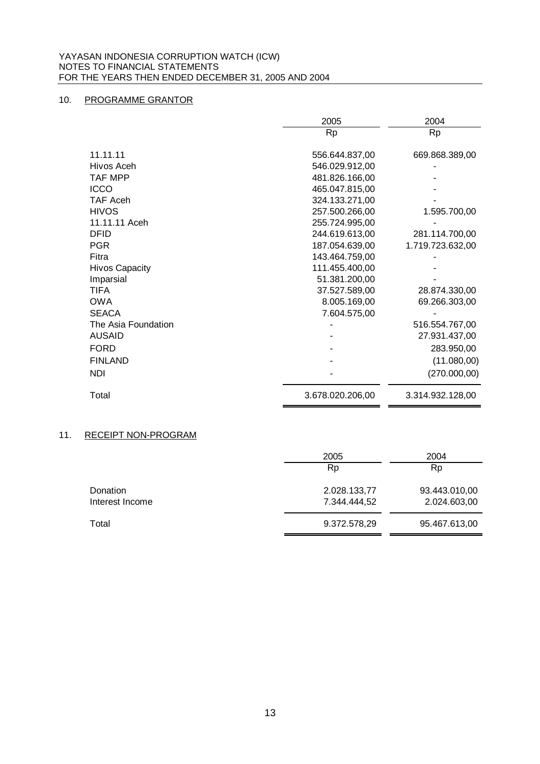#### 10. PROGRAMME GRANTOR

|                       | 2005             | 2004             |
|-----------------------|------------------|------------------|
|                       | <b>Rp</b>        | <b>Rp</b>        |
|                       |                  |                  |
| 11.11.11              | 556.644.837,00   | 669.868.389,00   |
| Hivos Aceh            | 546.029.912,00   |                  |
| <b>TAF MPP</b>        | 481.826.166,00   |                  |
| <b>ICCO</b>           | 465.047.815,00   |                  |
| <b>TAF Aceh</b>       | 324.133.271,00   |                  |
| <b>HIVOS</b>          | 257.500.266,00   | 1.595.700,00     |
| 11.11.11 Aceh         | 255.724.995,00   |                  |
| <b>DFID</b>           | 244.619.613,00   | 281.114.700,00   |
| <b>PGR</b>            | 187.054.639,00   | 1.719.723.632,00 |
| Fitra                 | 143.464.759,00   |                  |
| <b>Hivos Capacity</b> | 111.455.400,00   |                  |
| Imparsial             | 51.381.200,00    |                  |
| <b>TIFA</b>           | 37.527.589,00    | 28.874.330,00    |
| <b>OWA</b>            | 8.005.169,00     | 69.266.303,00    |
| <b>SEACA</b>          | 7.604.575,00     |                  |
| The Asia Foundation   |                  | 516.554.767,00   |
| <b>AUSAID</b>         |                  | 27.931.437,00    |
| <b>FORD</b>           |                  | 283.950,00       |
| <b>FINLAND</b>        |                  | (11.080,00)      |
| <b>NDI</b>            |                  | (270.000, 00)    |
| Total                 | 3.678.020.206,00 | 3.314.932.128,00 |

#### 11. RECEIPT NON-PROGRAM

|                 | 2005         | 2004          |
|-----------------|--------------|---------------|
|                 | <b>Rp</b>    | <b>Rp</b>     |
| Donation        | 2.028.133,77 | 93.443.010,00 |
| Interest Income | 7.344.444,52 | 2.024.603,00  |
| Total           | 9.372.578,29 | 95.467.613,00 |